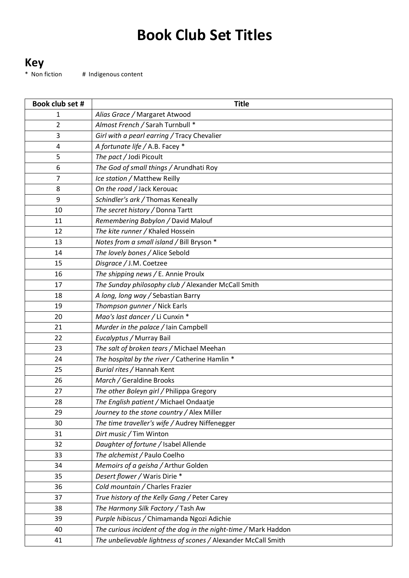## **Book Club Set Titles**

**Key**<br>\* Non fiction # Indigenous content

| Book club set # | <b>Title</b>                                                    |
|-----------------|-----------------------------------------------------------------|
| 1               | Alias Grace / Margaret Atwood                                   |
| 2               | Almost French / Sarah Turnbull *                                |
| 3               | Girl with a pearl earring / Tracy Chevalier                     |
| 4               | A fortunate life / A.B. Facey *                                 |
| 5               | The pact / Jodi Picoult                                         |
| 6               | The God of small things / Arundhati Roy                         |
| 7               | Ice station / Matthew Reilly                                    |
| 8               | On the road / Jack Kerouac                                      |
| 9               | Schindler's ark / Thomas Keneally                               |
| 10              | The secret history / Donna Tartt                                |
| 11              | Remembering Babylon / David Malouf                              |
| 12              | The kite runner / Khaled Hossein                                |
| 13              | Notes from a small island / Bill Bryson *                       |
| 14              | The lovely bones / Alice Sebold                                 |
| 15              | Disgrace / J.M. Coetzee                                         |
| 16              | The shipping news / E. Annie Proulx                             |
| 17              | The Sunday philosophy club / Alexander McCall Smith             |
| 18              | A long, long way / Sebastian Barry                              |
| 19              | Thompson gunner / Nick Earls                                    |
| 20              | Mao's last dancer / Li Cunxin *                                 |
| 21              | Murder in the palace / Iain Campbell                            |
| 22              | Eucalyptus / Murray Bail                                        |
| 23              | The salt of broken tears / Michael Meehan                       |
| 24              | The hospital by the river / Catherine Hamlin *                  |
| 25              | Burial rites / Hannah Kent                                      |
| 26              | March / Geraldine Brooks                                        |
| 27              | The other Boleyn girl / Philippa Gregory                        |
| 28              | The English patient / Michael Ondaatje                          |
| 29              | Journey to the stone country / Alex Miller                      |
| 30              | The time traveller's wife / Audrey Niffenegger                  |
| 31              | Dirt music / Tim Winton                                         |
| 32              | Daughter of fortune / Isabel Allende                            |
| 33              | The alchemist / Paulo Coelho                                    |
| 34              | Memoirs of a geisha / Arthur Golden                             |
| 35              | Desert flower / Waris Dirie *                                   |
| 36              | Cold mountain / Charles Frazier                                 |
| 37              | True history of the Kelly Gang / Peter Carey                    |
| 38              | The Harmony Silk Factory / Tash Aw                              |
| 39              | Purple hibiscus / Chimamanda Ngozi Adichie                      |
| 40              | The curious incident of the dog in the night-time / Mark Haddon |
| 41              | The unbelievable lightness of scones / Alexander McCall Smith   |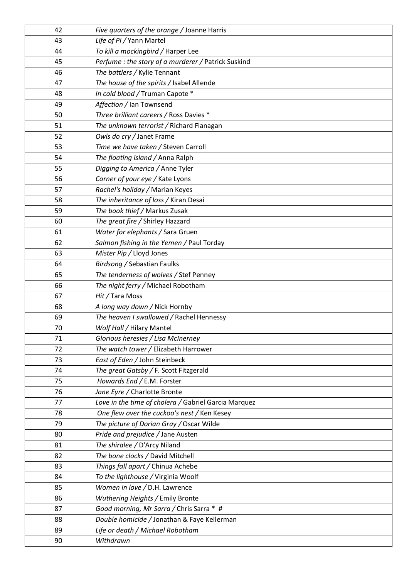| 42       | Five quarters of the orange / Joanne Harris                                             |
|----------|-----------------------------------------------------------------------------------------|
| 43       | Life of Pi / Yann Martel                                                                |
| 44       | To kill a mockingbird / Harper Lee                                                      |
| 45       | Perfume : the story of a murderer / Patrick Suskind                                     |
| 46       | The battlers / Kylie Tennant                                                            |
| 47       | The house of the spirits / Isabel Allende                                               |
| 48       | In cold blood / Truman Capote *                                                         |
| 49       | Affection / Ian Townsend                                                                |
| 50       | Three brilliant careers / Ross Davies *                                                 |
| 51       | The unknown terrorist / Richard Flanagan                                                |
| 52       | Owls do cry / Janet Frame                                                               |
| 53       | Time we have taken / Steven Carroll                                                     |
| 54       | The floating island / Anna Ralph                                                        |
| 55       | Digging to America / Anne Tyler                                                         |
| 56       | Corner of your eye / Kate Lyons                                                         |
| 57       | Rachel's holiday / Marian Keyes                                                         |
| 58       | The inheritance of loss / Kiran Desai                                                   |
| 59       | The book thief / Markus Zusak                                                           |
| 60       | The great fire / Shirley Hazzard                                                        |
| 61       | Water for elephants / Sara Gruen                                                        |
| 62       | Salmon fishing in the Yemen / Paul Torday                                               |
| 63       | Mister Pip / Lloyd Jones                                                                |
| 64       | Birdsong / Sebastian Faulks                                                             |
| 65       | The tenderness of wolves / Stef Penney                                                  |
| 66       | The night ferry / Michael Robotham                                                      |
| 67       | Hit / Tara Moss                                                                         |
| 68       | A long way down / Nick Hornby                                                           |
| 69       | The heaven I swallowed / Rachel Hennessy                                                |
| 70       | Wolf Hall / Hilary Mantel                                                               |
| 71       | Glorious heresies / Lisa McInerney                                                      |
| 72       | The watch tower / Elizabeth Harrower                                                    |
| 73       | East of Eden / John Steinbeck                                                           |
| 74       | The great Gatsby / F. Scott Fitzgerald                                                  |
| 75       | Howards End / E.M. Forster                                                              |
| 76       | Jane Eyre / Charlotte Bronte                                                            |
| 77       | Love in the time of cholera / Gabriel Garcia Marquez                                    |
| 78<br>79 | One flew over the cuckoo's nest / Ken Kesey<br>The picture of Dorian Gray / Oscar Wilde |
| 80       | Pride and prejudice / Jane Austen                                                       |
| 81       | The shiralee / D'Arcy Niland                                                            |
| 82       | The bone clocks / David Mitchell                                                        |
| 83       | Things fall apart / Chinua Achebe                                                       |
| 84       | To the lighthouse / Virginia Woolf                                                      |
| 85       | Women in love / D.H. Lawrence                                                           |
| 86       | Wuthering Heights / Emily Bronte                                                        |
| 87       | Good morning, Mr Sarra / Chris Sarra * #                                                |
| 88       | Double homicide / Jonathan & Faye Kellerman                                             |
| 89       | Life or death / Michael Robotham                                                        |
| 90       | Withdrawn                                                                               |
|          |                                                                                         |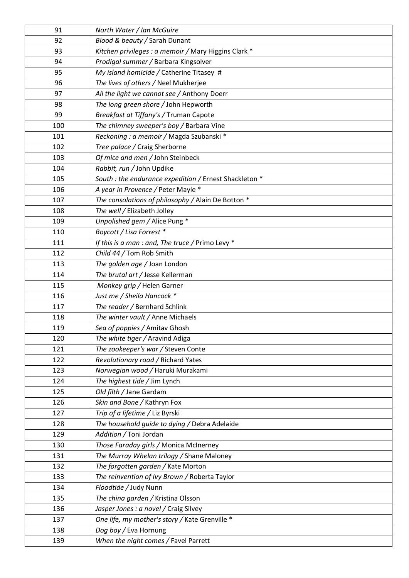| 91  | North Water / Ian McGuire                              |
|-----|--------------------------------------------------------|
| 92  | Blood & beauty / Sarah Dunant                          |
| 93  | Kitchen privileges : a memoir / Mary Higgins Clark *   |
| 94  | Prodigal summer / Barbara Kingsolver                   |
| 95  | My island homicide / Catherine Titasey #               |
| 96  | The lives of others / Neel Mukherjee                   |
| 97  | All the light we cannot see / Anthony Doerr            |
| 98  | The long green shore / John Hepworth                   |
| 99  | Breakfast at Tiffany's / Truman Capote                 |
| 100 | The chimney sweeper's boy / Barbara Vine               |
| 101 | Reckoning : a memoir / Magda Szubanski *               |
| 102 | Tree palace / Craig Sherborne                          |
| 103 | Of mice and men / John Steinbeck                       |
| 104 | Rabbit, run / John Updike                              |
| 105 | South : the endurance expedition / Ernest Shackleton * |
| 106 | A year in Provence / Peter Mayle *                     |
| 107 | The consolations of philosophy / Alain De Botton *     |
| 108 | The well / Elizabeth Jolley                            |
| 109 | Unpolished gem / Alice Pung *                          |
| 110 | Boycott / Lisa Forrest *                               |
| 111 | If this is a man : and, The truce / Primo Levy *       |
| 112 | Child 44 / Tom Rob Smith                               |
| 113 | The golden age / Joan London                           |
| 114 | The brutal art / Jesse Kellerman                       |
| 115 | Monkey grip / Helen Garner                             |
| 116 | Just me / Sheila Hancock *                             |
| 117 | The reader / Bernhard Schlink                          |
| 118 | The winter vault / Anne Michaels                       |
| 119 | Sea of poppies / Amitav Ghosh                          |
| 120 | The white tiger / Aravind Adiga                        |
| 121 | The zookeeper's war / Steven Conte                     |
| 122 | Revolutionary road / Richard Yates                     |
| 123 | Norwegian wood / Haruki Murakami                       |
| 124 | The highest tide / Jim Lynch                           |
| 125 | Old filth / Jane Gardam                                |
| 126 | Skin and Bone / Kathryn Fox                            |
| 127 | Trip of a lifetime / Liz Byrski                        |
| 128 | The household guide to dying / Debra Adelaide          |
| 129 | Addition / Toni Jordan                                 |
| 130 | Those Faraday girls / Monica McInerney                 |
| 131 | The Murray Whelan trilogy / Shane Maloney              |
| 132 | The forgotten garden / Kate Morton                     |
| 133 | The reinvention of Ivy Brown / Roberta Taylor          |
| 134 | Floodtide / Judy Nunn                                  |
| 135 | The china garden / Kristina Olsson                     |
| 136 | Jasper Jones : a novel / Craig Silvey                  |
| 137 | One life, my mother's story / Kate Grenville *         |
| 138 | Dog boy / Eva Hornung                                  |
| 139 | When the night comes / Favel Parrett                   |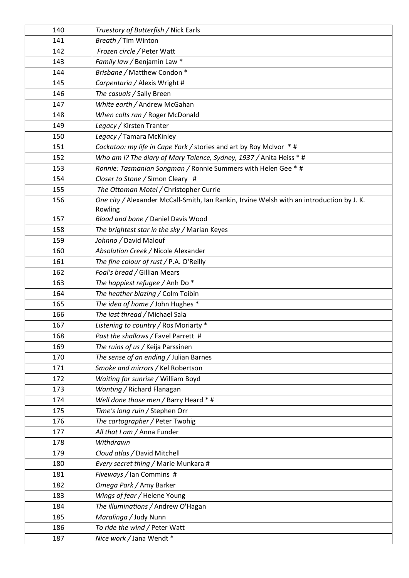| 140        | Truestory of Butterfish / Nick Earls                                                      |
|------------|-------------------------------------------------------------------------------------------|
| 141        | Breath / Tim Winton                                                                       |
| 142        | Frozen circle / Peter Watt                                                                |
| 143        | Family law / Benjamin Law *                                                               |
| 144        | Brisbane / Matthew Condon *                                                               |
| 145        | Carpentaria / Alexis Wright #                                                             |
| 146        | The casuals / Sally Breen                                                                 |
| 147        | White earth / Andrew McGahan                                                              |
| 148        | When colts ran / Roger McDonald                                                           |
| 149        | Legacy / Kirsten Tranter                                                                  |
| 150        | Legacy / Tamara McKinley                                                                  |
| 151        | Cockatoo: my life in Cape York / stories and art by Roy McIvor * #                        |
| 152        | Who am I? The diary of Mary Talence, Sydney, 1937 / Anita Heiss * #                       |
| 153        | Ronnie: Tasmanian Songman / Ronnie Summers with Helen Gee * #                             |
| 154        | Closer to Stone / Simon Cleary #                                                          |
| 155        | The Ottoman Motel / Christopher Currie                                                    |
| 156        | One city / Alexander McCall-Smith, Ian Rankin, Irvine Welsh with an introduction by J. K. |
|            | Rowling                                                                                   |
| 157        | Blood and bone / Daniel Davis Wood                                                        |
| 158        | The brightest star in the sky / Marian Keyes                                              |
| 159        | Johnno / David Malouf                                                                     |
| 160        | Absolution Creek / Nicole Alexander                                                       |
| 161        | The fine colour of rust / P.A. O'Reilly                                                   |
| 162        | Foal's bread / Gillian Mears                                                              |
| 163        | The happiest refugee / Anh Do *                                                           |
| 164        | The heather blazing / Colm Toibin                                                         |
| 165        | The idea of home / John Hughes *                                                          |
| 166        | The last thread / Michael Sala                                                            |
| 167        | Listening to country / Ros Moriarty *                                                     |
| 168        | Past the shallows / Favel Parrett #                                                       |
| 169        | The ruins of us / Keija Parssinen                                                         |
| 170        | The sense of an ending / Julian Barnes                                                    |
| 171        | Smoke and mirrors / Kel Robertson                                                         |
| 172        | Waiting for sunrise / William Boyd                                                        |
| 173        | Wanting / Richard Flanagan                                                                |
| 174        | Well done those men / Barry Heard * #                                                     |
| 175<br>176 | Time's long ruin / Stephen Orr<br>The cartographer / Peter Twohig                         |
| 177        | All that I am / Anna Funder                                                               |
| 178        | Withdrawn                                                                                 |
| 179        | Cloud atlas / David Mitchell                                                              |
| 180        |                                                                                           |
| 181        | Every secret thing / Marie Munkara #<br>Fiveways / Ian Commins #                          |
| 182        | Omega Park / Amy Barker                                                                   |
|            |                                                                                           |
| 183<br>184 | Wings of fear / Helene Young<br>The illuminations / Andrew O'Hagan                        |
|            |                                                                                           |
| 185<br>186 | Maralinga / Judy Nunn                                                                     |
|            | To ride the wind / Peter Watt                                                             |
| 187        | Nice work / Jana Wendt *                                                                  |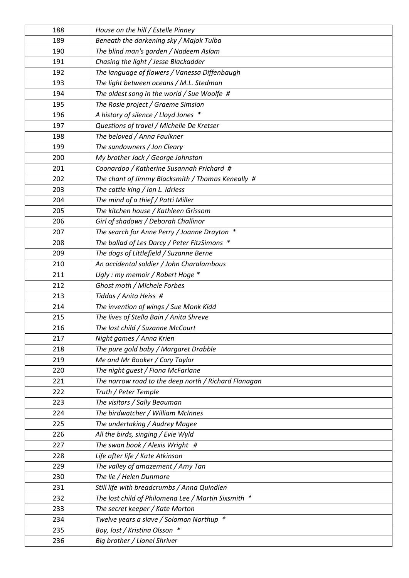| 188 | House on the hill / Estelle Pinney                   |
|-----|------------------------------------------------------|
| 189 | Beneath the darkening sky / Majok Tulba              |
| 190 | The blind man's garden / Nadeem Aslam                |
| 191 | Chasing the light / Jesse Blackadder                 |
| 192 | The language of flowers / Vanessa Diffenbaugh        |
| 193 | The light between oceans / M.L. Stedman              |
| 194 | The oldest song in the world / Sue Woolfe #          |
| 195 | The Rosie project / Graeme Simsion                   |
| 196 | A history of silence / Lloyd Jones *                 |
| 197 | Questions of travel / Michelle De Kretser            |
| 198 | The beloved / Anna Faulkner                          |
| 199 | The sundowners / Jon Cleary                          |
| 200 | My brother Jack / George Johnston                    |
| 201 | Coonardoo / Katherine Susannah Prichard #            |
| 202 | The chant of Jimmy Blacksmith / Thomas Keneally #    |
| 203 | The cattle king / Ion L. Idriess                     |
| 204 | The mind of a thief / Patti Miller                   |
| 205 | The kitchen house / Kathleen Grissom                 |
| 206 | Girl of shadows / Deborah Challinor                  |
| 207 | The search for Anne Perry / Joanne Drayton *         |
| 208 | The ballad of Les Darcy / Peter FitzSimons *         |
| 209 | The dogs of Littlefield / Suzanne Berne              |
| 210 | An accidental soldier / John Charalambous            |
| 211 | Ugly : my memoir / Robert Hoge *                     |
| 212 | Ghost moth / Michele Forbes                          |
| 213 | Tiddas / Anita Heiss #                               |
| 214 | The invention of wings / Sue Monk Kidd               |
| 215 | The lives of Stella Bain / Anita Shreve              |
| 216 | The lost child / Suzanne McCourt                     |
| 217 | Night games / Anna Krien                             |
| 218 | The pure gold baby / Margaret Drabble                |
| 219 | Me and Mr Booker / Cory Taylor                       |
| 220 | The night guest / Fiona McFarlane                    |
| 221 | The narrow road to the deep north / Richard Flanagan |
| 222 | Truth / Peter Temple                                 |
| 223 | The visitors / Sally Beauman                         |
| 224 | The birdwatcher / William McInnes                    |
| 225 | The undertaking / Audrey Magee                       |
| 226 | All the birds, singing / Evie Wyld                   |
| 227 | The swan book / Alexis Wright #                      |
| 228 | Life after life / Kate Atkinson                      |
| 229 | The valley of amazement / Amy Tan                    |
| 230 | The lie / Helen Dunmore                              |
| 231 | Still life with breadcrumbs / Anna Quindlen          |
| 232 | The lost child of Philomena Lee / Martin Sixsmith *  |
| 233 | The secret keeper / Kate Morton                      |
| 234 | Twelve years a slave / Solomon Northup *             |
| 235 | Boy, lost / Kristina Olsson *                        |
| 236 | Big brother / Lionel Shriver                         |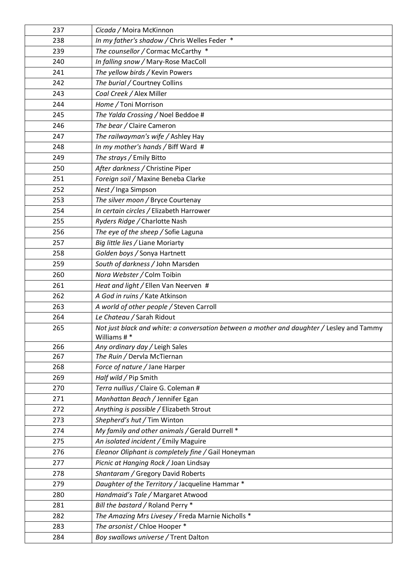| 237 | Cicada / Moira McKinnon                                                                                  |
|-----|----------------------------------------------------------------------------------------------------------|
| 238 | In my father's shadow / Chris Welles Feder *                                                             |
| 239 | The counsellor / Cormac McCarthy *                                                                       |
| 240 | In falling snow / Mary-Rose MacColl                                                                      |
| 241 | The yellow birds / Kevin Powers                                                                          |
| 242 | The burial / Courtney Collins                                                                            |
| 243 | Coal Creek / Alex Miller                                                                                 |
| 244 | Home / Toni Morrison                                                                                     |
| 245 | The Yalda Crossing / Noel Beddoe #                                                                       |
| 246 | The bear / Claire Cameron                                                                                |
| 247 | The railwayman's wife / Ashley Hay                                                                       |
| 248 | In my mother's hands / Biff Ward #                                                                       |
| 249 | The strays / Emily Bitto                                                                                 |
| 250 | After darkness / Christine Piper                                                                         |
| 251 | Foreign soil / Maxine Beneba Clarke                                                                      |
| 252 | Nest / Inga Simpson                                                                                      |
| 253 | The silver moon / Bryce Courtenay                                                                        |
| 254 | In certain circles / Elizabeth Harrower                                                                  |
| 255 | Ryders Ridge / Charlotte Nash                                                                            |
| 256 | The eye of the sheep / Sofie Laguna                                                                      |
| 257 | Big little lies / Liane Moriarty                                                                         |
| 258 | Golden boys / Sonya Hartnett                                                                             |
| 259 | South of darkness / John Marsden                                                                         |
| 260 | Nora Webster / Colm Toibin                                                                               |
| 261 | Heat and light / Ellen Van Neerven #                                                                     |
| 262 | A God in ruins / Kate Atkinson                                                                           |
| 263 | A world of other people / Steven Carroll                                                                 |
| 264 | Le Chateau / Sarah Ridout                                                                                |
| 265 | Not just black and white: a conversation between a mother and daughter / Lesley and Tammy<br>Williams #* |
| 266 | Any ordinary day / Leigh Sales                                                                           |
| 267 | The Ruin / Dervla McTiernan                                                                              |
| 268 | Force of nature / Jane Harper                                                                            |
| 269 | Half wild / Pip Smith                                                                                    |
| 270 | Terra nullius / Claire G. Coleman #                                                                      |
| 271 | Manhattan Beach / Jennifer Egan                                                                          |
| 272 | Anything is possible / Elizabeth Strout                                                                  |
| 273 | Shepherd's hut / Tim Winton                                                                              |
| 274 | My family and other animals / Gerald Durrell *                                                           |
| 275 | An isolated incident / Emily Maguire                                                                     |
| 276 | Eleanor Oliphant is completely fine / Gail Honeyman                                                      |
| 277 | Picnic at Hanging Rock / Joan Lindsay                                                                    |
| 278 | Shantaram / Gregory David Roberts                                                                        |
| 279 | Daughter of the Territory / Jacqueline Hammar *                                                          |
| 280 | Handmaid's Tale / Margaret Atwood                                                                        |
| 281 | Bill the bastard / Roland Perry *                                                                        |
| 282 | The Amazing Mrs Livesey / Freda Marnie Nicholls *                                                        |
| 283 | The arsonist / Chloe Hooper *                                                                            |
| 284 | Boy swallows universe / Trent Dalton                                                                     |